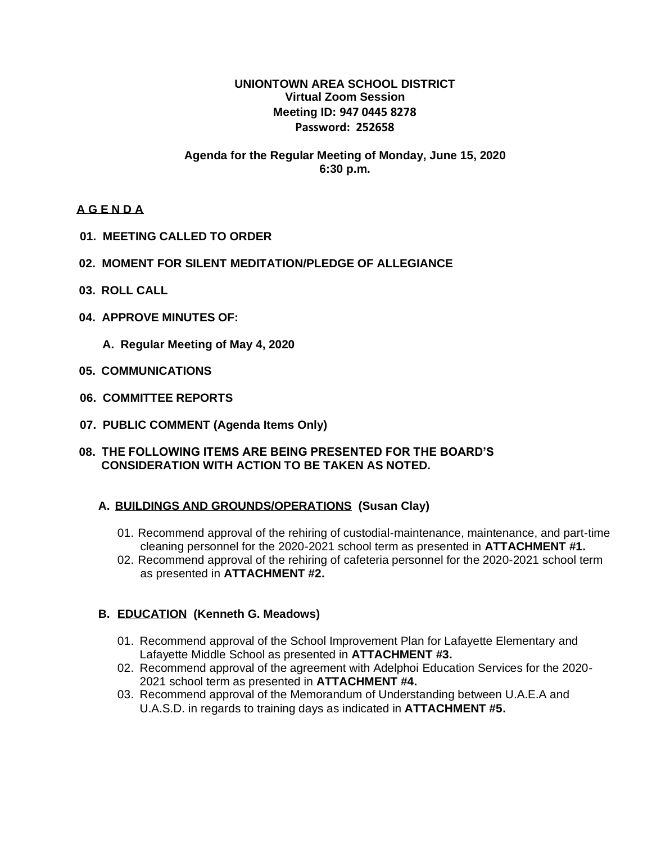# **UNIONTOWN AREA SCHOOL DISTRICT Virtual Zoom Session Meeting ID: 947 0445 8278 Password: 252658**

# **Agenda for the Regular Meeting of Monday, June 15, 2020 6:30 p.m.**

# **A G E N D A**

- **01. MEETING CALLED TO ORDER**
- **02. MOMENT FOR SILENT MEDITATION/PLEDGE OF ALLEGIANCE**
- **03. ROLL CALL**
- **04. APPROVE MINUTES OF:**
	- **A. Regular Meeting of May 4, 2020**
- **05. COMMUNICATIONS**
- **06. COMMITTEE REPORTS**
- **07. PUBLIC COMMENT (Agenda Items Only)**

#### **08. THE FOLLOWING ITEMS ARE BEING PRESENTED FOR THE BOARD'S CONSIDERATION WITH ACTION TO BE TAKEN AS NOTED.**

# **A. BUILDINGS AND GROUNDS/OPERATIONS (Susan Clay)**

- 01. Recommend approval of the rehiring of custodial-maintenance, maintenance, and part-time cleaning personnel for the 2020-2021 school term as presented in **ATTACHMENT #1.**
- 02. Recommend approval of the rehiring of cafeteria personnel for the 2020-2021 school term as presented in **ATTACHMENT #2.**

# **B. EDUCATION (Kenneth G. Meadows)**

- 01. Recommend approval of the School Improvement Plan for Lafayette Elementary and Lafayette Middle School as presented in **ATTACHMENT #3.**
- 02. Recommend approval of the agreement with Adelphoi Education Services for the 2020- 2021 school term as presented in **ATTACHMENT #4.**
- 03. Recommend approval of the Memorandum of Understanding between U.A.E.A and U.A.S.D. in regards to training days as indicated in **ATTACHMENT #5.**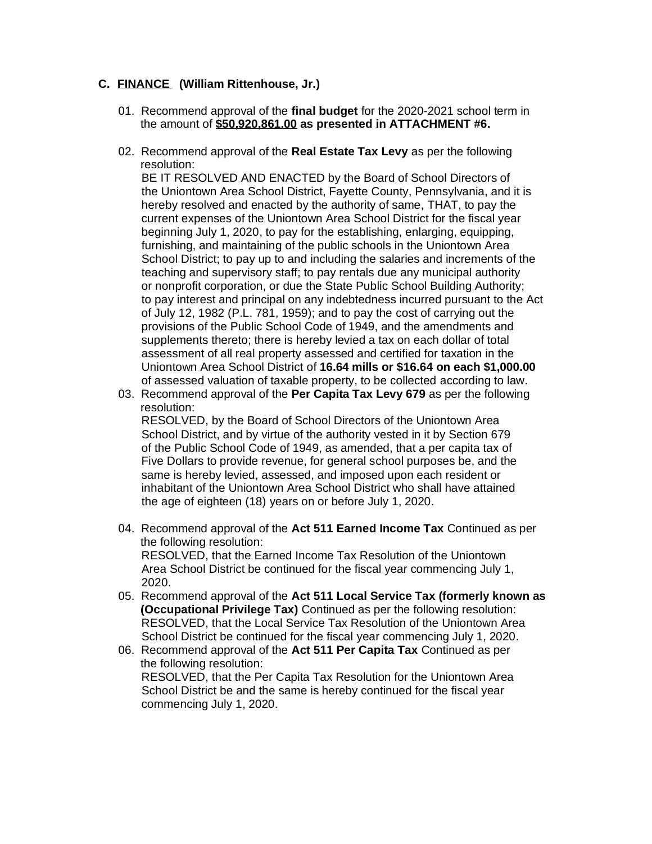# **C. FINANCE (William Rittenhouse, Jr.)**

- 01. Recommend approval of the **final budget** for the 2020-2021 school term in the amount of **\$50,920,861.00 as presented in ATTACHMENT #6.**
- 02. Recommend approval of the **Real Estate Tax Levy** as per the following resolution:

 BE IT RESOLVED AND ENACTED by the Board of School Directors of the Uniontown Area School District, Fayette County, Pennsylvania, and it is hereby resolved and enacted by the authority of same, THAT, to pay the current expenses of the Uniontown Area School District for the fiscal year beginning July 1, 2020, to pay for the establishing, enlarging, equipping, furnishing, and maintaining of the public schools in the Uniontown Area School District; to pay up to and including the salaries and increments of the teaching and supervisory staff; to pay rentals due any municipal authority or nonprofit corporation, or due the State Public School Building Authority; to pay interest and principal on any indebtedness incurred pursuant to the Act of July 12, 1982 (P.L. 781, 1959); and to pay the cost of carrying out the provisions of the Public School Code of 1949, and the amendments and supplements thereto; there is hereby levied a tax on each dollar of total assessment of all real property assessed and certified for taxation in the Uniontown Area School District of **16.64 mills or \$16.64 on each \$1,000.00** of assessed valuation of taxable property, to be collected according to law.

03. Recommend approval of the **Per Capita Tax Levy 679** as per the following resolution:

 RESOLVED, by the Board of School Directors of the Uniontown Area School District, and by virtue of the authority vested in it by Section 679 of the Public School Code of 1949, as amended, that a per capita tax of Five Dollars to provide revenue, for general school purposes be, and the same is hereby levied, assessed, and imposed upon each resident or inhabitant of the Uniontown Area School District who shall have attained the age of eighteen (18) years on or before July 1, 2020.

- 04. Recommend approval of the **Act 511 Earned Income Tax** Continued as per the following resolution: RESOLVED, that the Earned Income Tax Resolution of the Uniontown Area School District be continued for the fiscal year commencing July 1, 2020.
- 05. Recommend approval of the **Act 511 Local Service Tax (formerly known as (Occupational Privilege Tax)** Continued as per the following resolution: RESOLVED, that the Local Service Tax Resolution of the Uniontown Area School District be continued for the fiscal year commencing July 1, 2020.
- 06. Recommend approval of the **Act 511 Per Capita Tax** Continued as per the following resolution: RESOLVED, that the Per Capita Tax Resolution for the Uniontown Area School District be and the same is hereby continued for the fiscal year commencing July 1, 2020.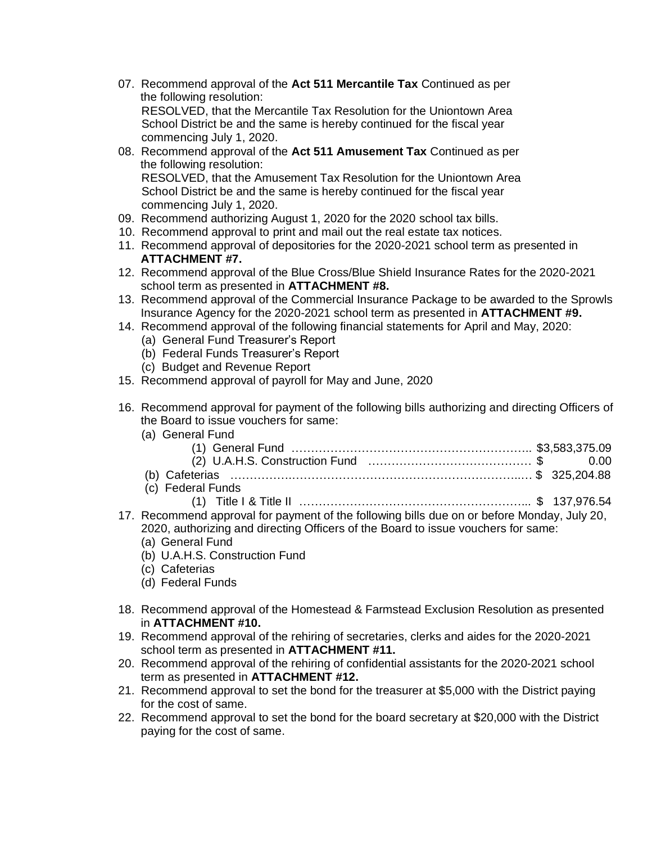- 07. Recommend approval of the **Act 511 Mercantile Tax** Continued as per the following resolution: RESOLVED, that the Mercantile Tax Resolution for the Uniontown Area School District be and the same is hereby continued for the fiscal year commencing July 1, 2020.
- 08. Recommend approval of the **Act 511 Amusement Tax** Continued as per the following resolution: RESOLVED, that the Amusement Tax Resolution for the Uniontown Area School District be and the same is hereby continued for the fiscal year
- commencing July 1, 2020. 09. Recommend authorizing August 1, 2020 for the 2020 school tax bills.
- 10. Recommend approval to print and mail out the real estate tax notices.
- 11. Recommend approval of depositories for the 2020-2021 school term as presented in **ATTACHMENT #7.**
- 12. Recommend approval of the Blue Cross/Blue Shield Insurance Rates for the 2020-2021 school term as presented in **ATTACHMENT #8.**
- 13. Recommend approval of the Commercial Insurance Package to be awarded to the Sprowls Insurance Agency for the 2020-2021 school term as presented in **ATTACHMENT #9.**
- 14. Recommend approval of the following financial statements for April and May, 2020:
	- (a) General Fund Treasurer's Report
	- (b) Federal Funds Treasurer's Report
	- (c) Budget and Revenue Report
- 15. Recommend approval of payroll for May and June, 2020
- 16. Recommend approval for payment of the following bills authorizing and directing Officers of the Board to issue vouchers for same:
	- (a) General Fund

| (c) Federal Funds |  |
|-------------------|--|
|                   |  |

- 17. Recommend approval for payment of the following bills due on or before Monday, July 20, 2020, authorizing and directing Officers of the Board to issue vouchers for same: (a) General Fund
	- (b) U.A.H.S. Construction Fund
	- (c) Cafeterias
	- (d) Federal Funds
- 18. Recommend approval of the Homestead & Farmstead Exclusion Resolution as presented in **ATTACHMENT #10.**
- 19. Recommend approval of the rehiring of secretaries, clerks and aides for the 2020-2021 school term as presented in **ATTACHMENT #11.**
- 20. Recommend approval of the rehiring of confidential assistants for the 2020-2021 school term as presented in **ATTACHMENT #12.**
- 21. Recommend approval to set the bond for the treasurer at \$5,000 with the District paying for the cost of same.
- 22. Recommend approval to set the bond for the board secretary at \$20,000 with the District paying for the cost of same.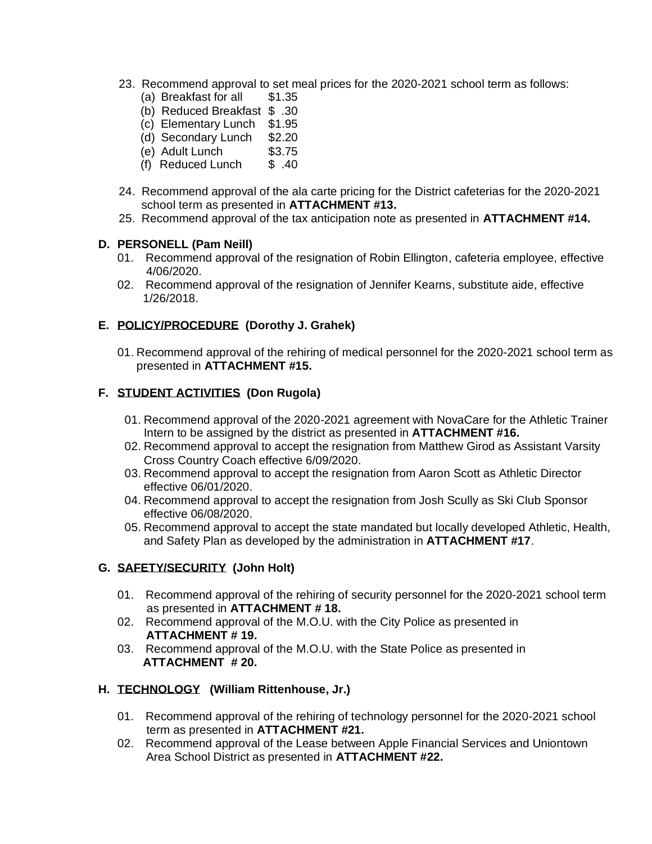- 23. Recommend approval to set meal prices for the 2020-2021 school term as follows:
	- (a) Breakfast for all \$1.35
	- (b) Reduced Breakfast \$ .30
	- (c) Elementary Lunch \$1.95
	- (d) Secondary Lunch \$2.20
	- (e) Adult Lunch \$3.75
	- (f) Reduced Lunch  $$.40$
- 24. Recommend approval of the ala carte pricing for the District cafeterias for the 2020-2021 school term as presented in **ATTACHMENT #13.**
- 25. Recommend approval of the tax anticipation note as presented in **ATTACHMENT #14.**

#### **D. PERSONELL (Pam Neill)**

- 01. Recommend approval of the resignation of Robin Ellington, cafeteria employee, effective 4/06/2020.
- 02. Recommend approval of the resignation of Jennifer Kearns, substitute aide, effective 1/26/2018.

# **E. POLICY/PROCEDURE (Dorothy J. Grahek)**

01. Recommend approval of the rehiring of medical personnel for the 2020-2021 school term as presented in **ATTACHMENT #15.**

# **F. STUDENT ACTIVITIES (Don Rugola)**

- 01. Recommend approval of the 2020-2021 agreement with NovaCare for the Athletic Trainer Intern to be assigned by the district as presented in **ATTACHMENT #16.**
- 02. Recommend approval to accept the resignation from Matthew Girod as Assistant Varsity Cross Country Coach effective 6/09/2020.
- 03. Recommend approval to accept the resignation from Aaron Scott as Athletic Director effective 06/01/2020.
- 04. Recommend approval to accept the resignation from Josh Scully as Ski Club Sponsor effective 06/08/2020.
- 05. Recommend approval to accept the state mandated but locally developed Athletic, Health, and Safety Plan as developed by the administration in **ATTACHMENT #17**.

# **G. SAFETY/SECURITY (John Holt)**

- 01. Recommend approval of the rehiring of security personnel for the 2020-2021 school term as presented in **ATTACHMENT # 18.**
- 02. Recommend approval of the M.O.U. with the City Police as presented in **ATTACHMENT # 19.**
- 03. Recommend approval of the M.O.U. with the State Police as presented in **ATTACHMENT # 20.**

# **H. TECHNOLOGY (William Rittenhouse, Jr.)**

- 01. Recommend approval of the rehiring of technology personnel for the 2020-2021 school term as presented in **ATTACHMENT #21.**
- 02. Recommend approval of the Lease between Apple Financial Services and Uniontown Area School District as presented in **ATTACHMENT #22.**